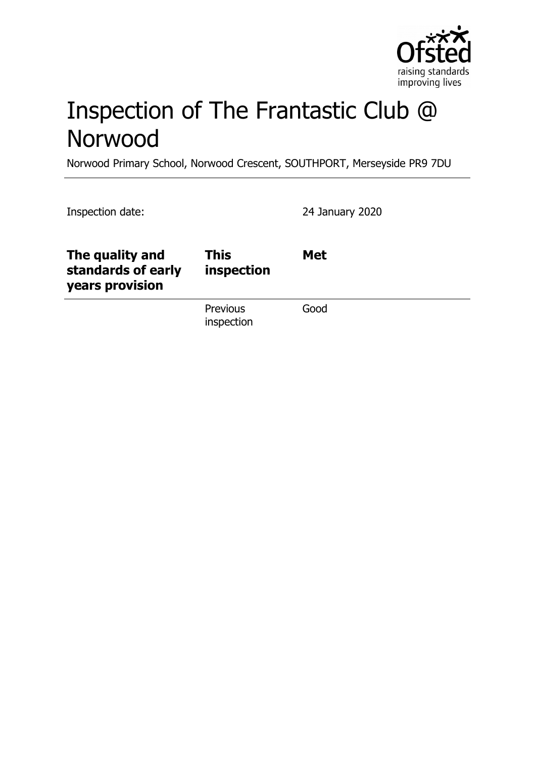

# Inspection of The Frantastic Club @ Norwood

Norwood Primary School, Norwood Crescent, SOUTHPORT, Merseyside PR9 7DU

| Inspection date:                                         |                           | 24 January 2020 |
|----------------------------------------------------------|---------------------------|-----------------|
| The quality and<br>standards of early<br>years provision | <b>This</b><br>inspection | <b>Met</b>      |
|                                                          | Previous<br>inspection    | Good            |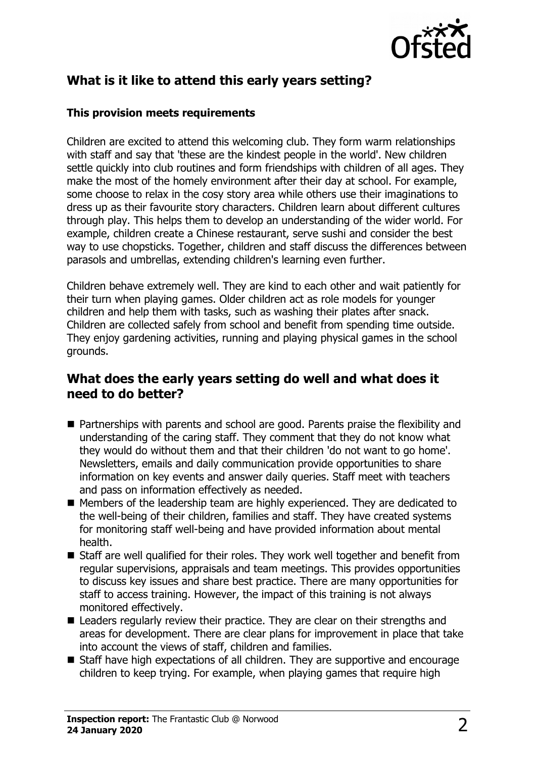

# **What is it like to attend this early years setting?**

#### **This provision meets requirements**

Children are excited to attend this welcoming club. They form warm relationships with staff and say that 'these are the kindest people in the world'. New children settle quickly into club routines and form friendships with children of all ages. They make the most of the homely environment after their day at school. For example, some choose to relax in the cosy story area while others use their imaginations to dress up as their favourite story characters. Children learn about different cultures through play. This helps them to develop an understanding of the wider world. For example, children create a Chinese restaurant, serve sushi and consider the best way to use chopsticks. Together, children and staff discuss the differences between parasols and umbrellas, extending children's learning even further.

Children behave extremely well. They are kind to each other and wait patiently for their turn when playing games. Older children act as role models for younger children and help them with tasks, such as washing their plates after snack. Children are collected safely from school and benefit from spending time outside. They enjoy gardening activities, running and playing physical games in the school grounds.

### **What does the early years setting do well and what does it need to do better?**

- Partnerships with parents and school are good. Parents praise the flexibility and understanding of the caring staff. They comment that they do not know what they would do without them and that their children 'do not want to go home'. Newsletters, emails and daily communication provide opportunities to share information on key events and answer daily queries. Staff meet with teachers and pass on information effectively as needed.
- $\blacksquare$  Members of the leadership team are highly experienced. They are dedicated to the well-being of their children, families and staff. They have created systems for monitoring staff well-being and have provided information about mental health.
- $\blacksquare$  Staff are well qualified for their roles. They work well together and benefit from regular supervisions, appraisals and team meetings. This provides opportunities to discuss key issues and share best practice. There are many opportunities for staff to access training. However, the impact of this training is not always monitored effectively.
- $\blacksquare$  Leaders regularly review their practice. They are clear on their strengths and areas for development. There are clear plans for improvement in place that take into account the views of staff, children and families.
- Staff have high expectations of all children. They are supportive and encourage children to keep trying. For example, when playing games that require high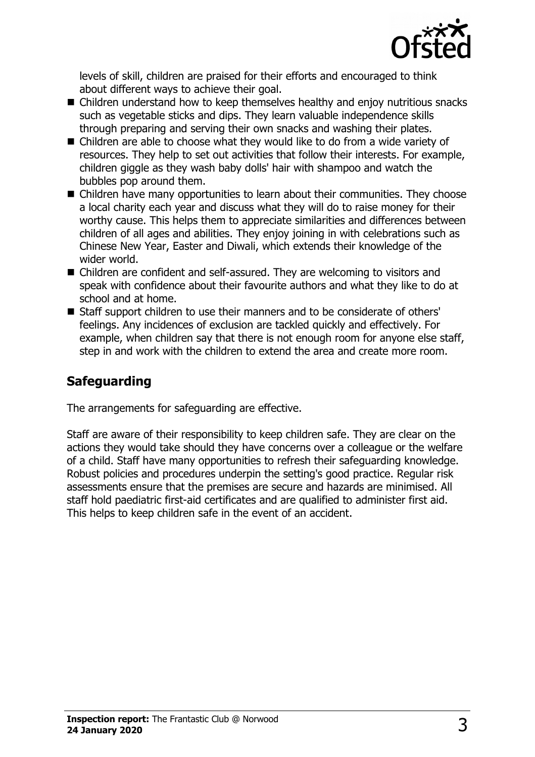

levels of skill, children are praised for their efforts and encouraged to think about different ways to achieve their goal.

- $\blacksquare$  Children understand how to keep themselves healthy and enjoy nutritious snacks such as vegetable sticks and dips. They learn valuable independence skills through preparing and serving their own snacks and washing their plates.
- Children are able to choose what they would like to do from a wide variety of resources. They help to set out activities that follow their interests. For example, children giggle as they wash baby dolls' hair with shampoo and watch the bubbles pop around them.
- $\blacksquare$  Children have many opportunities to learn about their communities. They choose a local charity each year and discuss what they will do to raise money for their worthy cause. This helps them to appreciate similarities and differences between children of all ages and abilities. They enjoy joining in with celebrations such as Chinese New Year, Easter and Diwali, which extends their knowledge of the wider world.
- Children are confident and self-assured. They are welcoming to visitors and speak with confidence about their favourite authors and what they like to do at school and at home.
- Staff support children to use their manners and to be considerate of others' feelings. Any incidences of exclusion are tackled quickly and effectively. For example, when children say that there is not enough room for anyone else staff, step in and work with the children to extend the area and create more room.

## **Safeguarding**

The arrangements for safeguarding are effective.

Staff are aware of their responsibility to keep children safe. They are clear on the actions they would take should they have concerns over a colleague or the welfare of a child. Staff have many opportunities to refresh their safeguarding knowledge. Robust policies and procedures underpin the setting's good practice. Regular risk assessments ensure that the premises are secure and hazards are minimised. All staff hold paediatric first-aid certificates and are qualified to administer first aid. This helps to keep children safe in the event of an accident.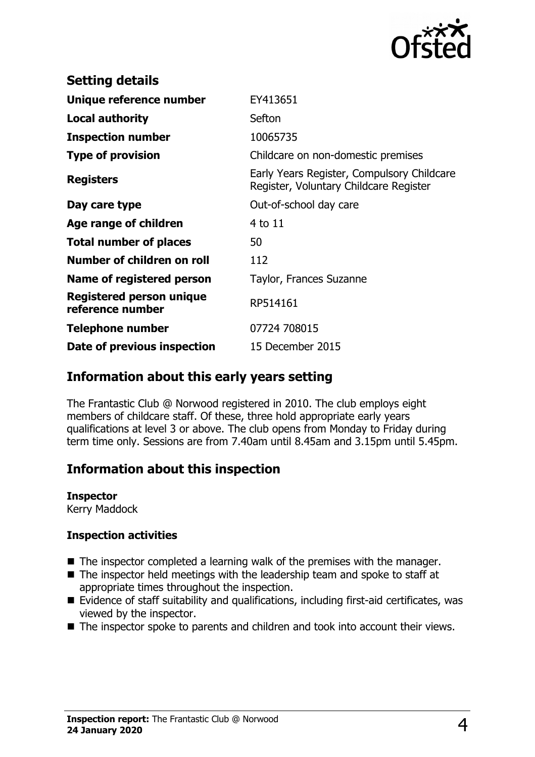

| <b>Setting details</b>                       |                                                                                      |
|----------------------------------------------|--------------------------------------------------------------------------------------|
| Unique reference number                      | EY413651                                                                             |
| <b>Local authority</b>                       | Sefton                                                                               |
| <b>Inspection number</b>                     | 10065735                                                                             |
| <b>Type of provision</b>                     | Childcare on non-domestic premises                                                   |
| <b>Registers</b>                             | Early Years Register, Compulsory Childcare<br>Register, Voluntary Childcare Register |
| Day care type                                | Out-of-school day care                                                               |
| Age range of children                        | 4 to 11                                                                              |
| <b>Total number of places</b>                | 50                                                                                   |
| Number of children on roll                   | 112                                                                                  |
| Name of registered person                    | Taylor, Frances Suzanne                                                              |
| Registered person unique<br>reference number | RP514161                                                                             |
| <b>Telephone number</b>                      | 07724 708015                                                                         |
| Date of previous inspection                  | 15 December 2015                                                                     |

### **Information about this early years setting**

The Frantastic Club @ Norwood registered in 2010. The club employs eight members of childcare staff. Of these, three hold appropriate early years qualifications at level 3 or above. The club opens from Monday to Friday during term time only. Sessions are from 7.40am until 8.45am and 3.15pm until 5.45pm.

## **Information about this inspection**

**Inspector**

Kerry Maddock

#### **Inspection activities**

- $\blacksquare$  The inspector completed a learning walk of the premises with the manager.
- $\blacksquare$  The inspector held meetings with the leadership team and spoke to staff at appropriate times throughout the inspection.
- Evidence of staff suitability and qualifications, including first-aid certificates, was viewed by the inspector.
- $\blacksquare$  The inspector spoke to parents and children and took into account their views.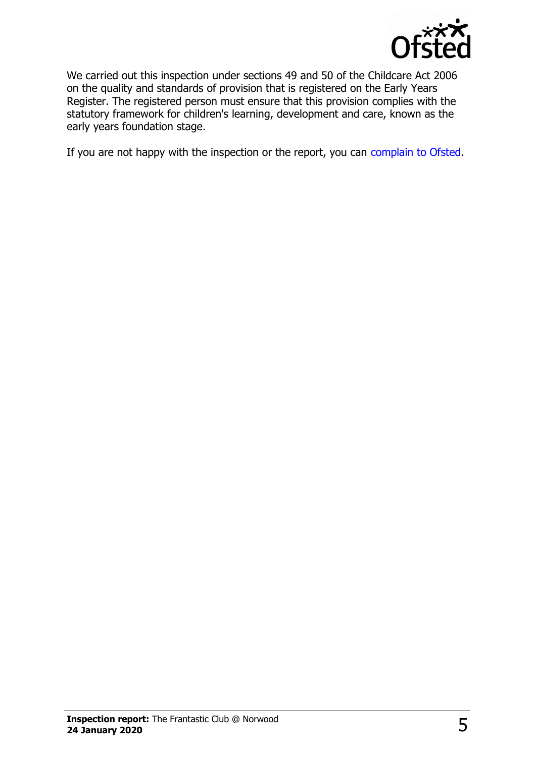

We carried out this inspection under sections 49 and 50 of the Childcare Act 2006 on the quality and standards of provision that is registered on the Early Years Register. The registered person must ensure that this provision complies with the statutory framework for children's learning, development and care, known as the early years foundation stage.

If you are not happy with the inspection or the report, you can [complain to Ofsted.](http://www.gov.uk/complain-ofsted-report)